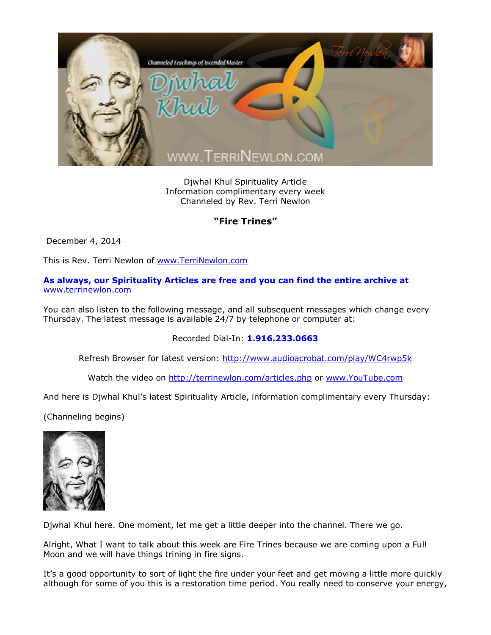

Djwhal Khul Spirituality Article Information complimentary every week Channeled by Rev. Terri Newlon

## **"Fire Trines"**

December 4, 2014

This is Rev. Terri Newlon of [www.TerriNewlon.com](http://www.terrinewlon.com/)

**As always, our Spirituality Articles are free and you can find the entire archive at** [www.terrinewlon.com](http://www.terrinewlon.com/)

You can also listen to the following message, and all subsequent messages which change every Thursday. The latest message is available 24/7 by telephone or computer at:

Recorded Dial-In: **1.916.233.0663**

Refresh Browser for latest version: <http://www.audioacrobat.com/play/WC4rwp5k>

Watch the video on <http://terrinewlon.com/articles.php> or [www.YouTube.com](http://www.youtube.com/)

And here is Djwhal Khul's latest Spirituality Article, information complimentary every Thursday:

(Channeling begins)



Djwhal Khul here. One moment, let me get a little deeper into the channel. There we go.

Alright, What I want to talk about this week are Fire Trines because we are coming upon a Full Moon and we will have things trining in fire signs.

It's a good opportunity to sort of light the fire under your feet and get moving a little more quickly although for some of you this is a restoration time period. You really need to conserve your energy,